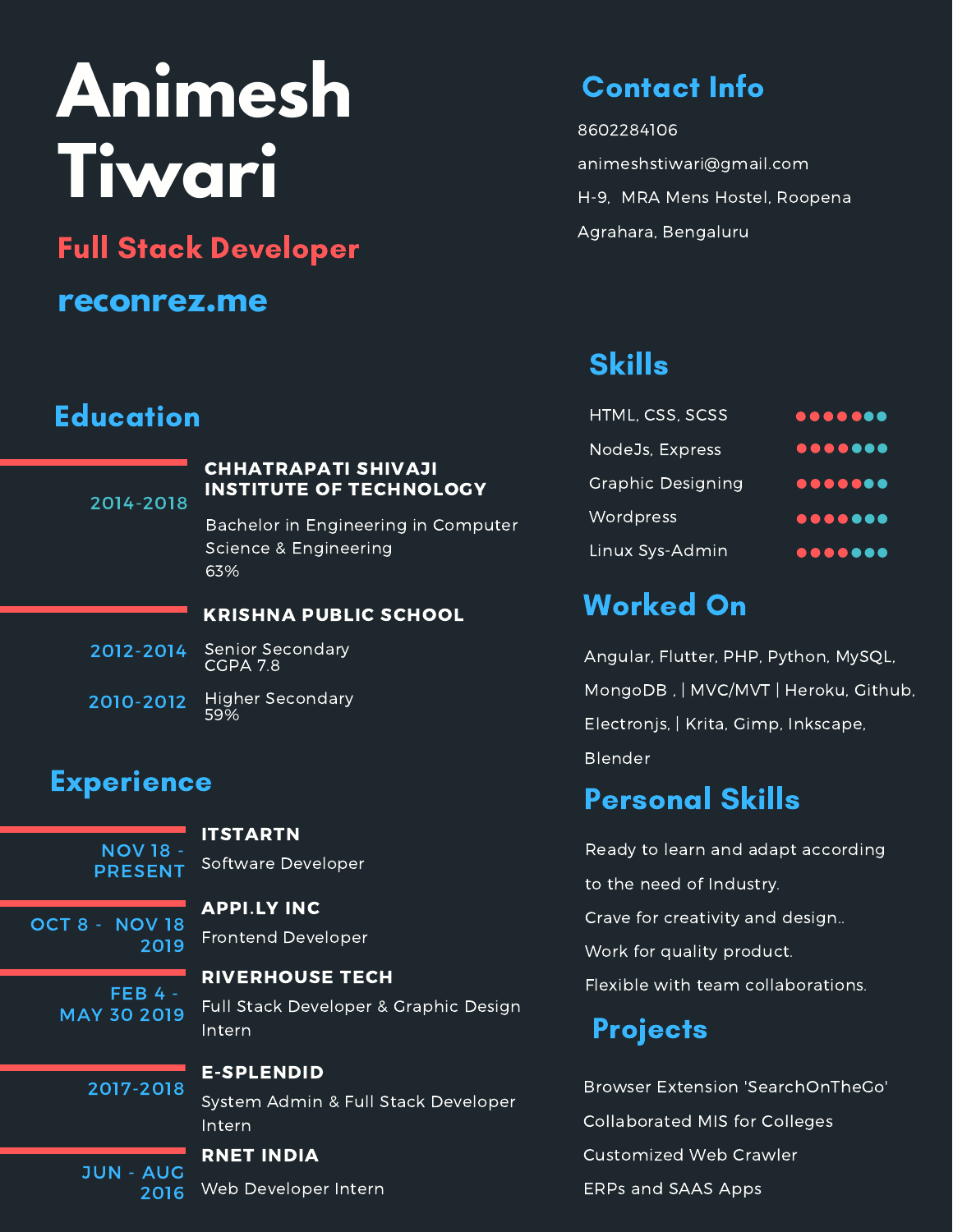# **Animesh Tiwari**

Full Stack Developer

## **reconrez.me**

## **Education**

#### 2014-2018

#### CHHATRAPATI SHIVAJI INSTITUTE OF TECHNOLOGY

Bachelor in Engineering in Computer Science & Engineering 63%

#### KRISHNA PUBLIC SCHOOL

- Senior Secondary CGPA 7.8 2012-2014
- Higher Secondary 59% 2010-2012

## Experience

NOV 18 - PRESENT

2019

### APPI.LY INC

**ITSTARTN** 

Frontend Developer

Software Developer

 $FEB$  4 -MAY 30 2019

OCT 8 - NOV 18

#### RIVERHOUSE TECH

Full Stack Developer & Graphic Design Intern

2017-2018

#### E-SPLENDID

System Admin & Full Stack Developer Intern

#### JUN - AUG 2016

## RNET INDIA

Web Developer Intern

# Contact Info

8602284106 animeshstiwari@gmail.com H-9, MRA Mens Hostel, Roopena Agrahara, Bengaluru

# Skills

| HTML, CSS, SCSS   | 0000000 |
|-------------------|---------|
| NodeJs, Express   | 0000000 |
| Graphic Designing |         |
| Wordpress         |         |
| Linux Sys-Admin   | 0000000 |

# Worked On

Angular, Flutter, PHP, Python, MySQL, MongoDB , | MVC/MVT | Heroku, Github, Electronjs, | Krita, Gimp, Inkscape, Blender

# Personal Skills

Ready to learn and adapt according to the need of Industry. Crave for creativity and design.. Work for quality product. Flexible with team collaborations.

# **Projects**

Browser Extension 'SearchOnTheGo' Collaborated MIS for Colleges Customized Web Crawler ERPs and SAAS Apps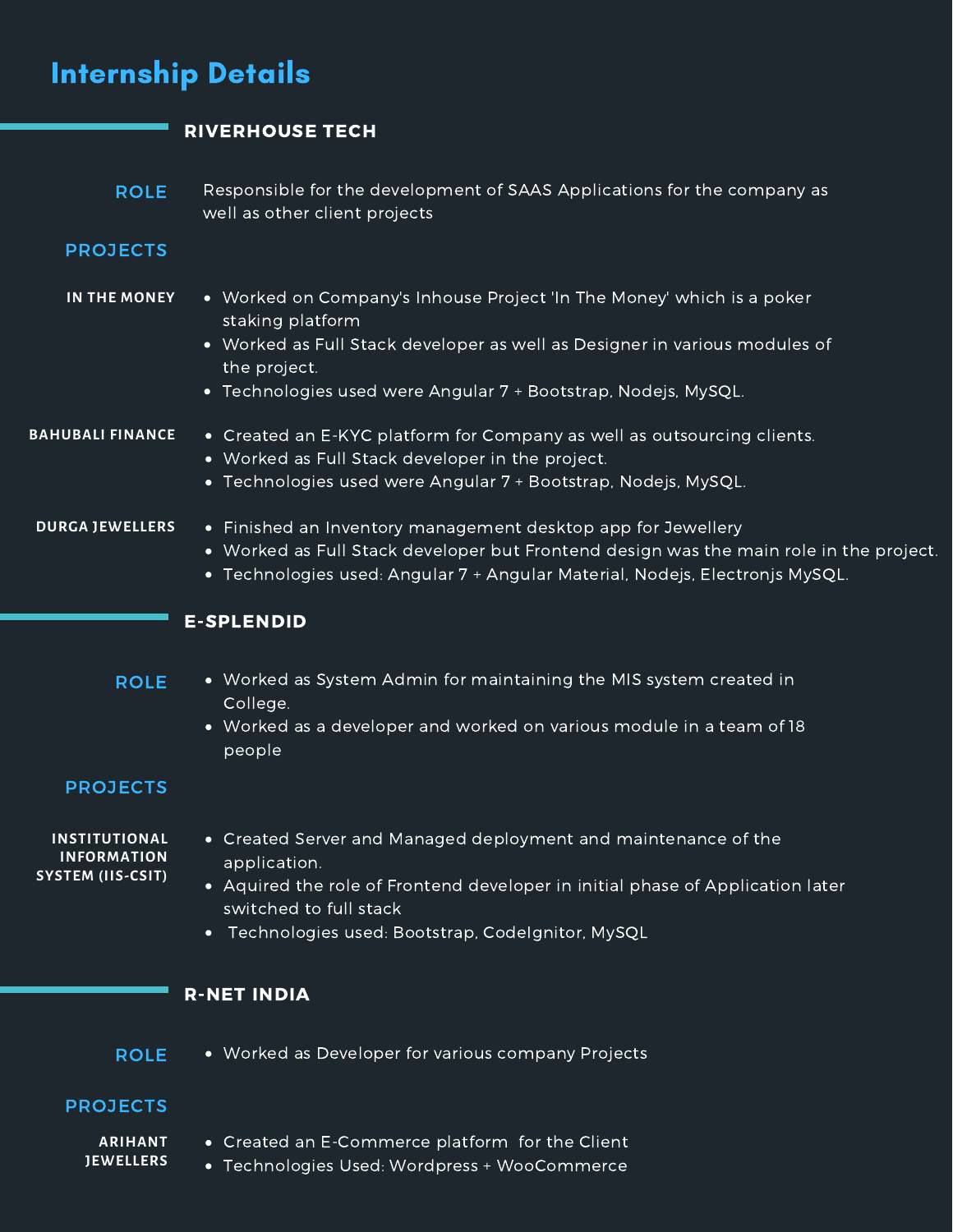| <b>Internship Details</b>                                |                                                                                                                                                                                                                                                             |  |
|----------------------------------------------------------|-------------------------------------------------------------------------------------------------------------------------------------------------------------------------------------------------------------------------------------------------------------|--|
|                                                          | <b>RIVERHOUSE TECH</b>                                                                                                                                                                                                                                      |  |
| <b>ROLE</b>                                              | Responsible for the development of SAAS Applications for the company as<br>well as other client projects                                                                                                                                                    |  |
| <b>PROJECTS</b>                                          |                                                                                                                                                                                                                                                             |  |
| IN THE MONEY                                             | • Worked on Company's Inhouse Project 'In The Money' which is a poker<br>staking platform<br>• Worked as Full Stack developer as well as Designer in various modules of<br>the project.<br>• Technologies used were Angular 7 + Bootstrap, Nodejs, MySQL.   |  |
| <b>BAHUBALI FINANCE</b>                                  | • Created an E-KYC platform for Company as well as outsourcing clients.<br>• Worked as Full Stack developer in the project.<br>• Technologies used were Angular 7 + Bootstrap, Nodejs, MySQL.                                                               |  |
| <b>DURGA JEWELLERS</b>                                   | • Finished an Inventory management desktop app for Jewellery<br>• Worked as Full Stack developer but Frontend design was the main role in the project.<br>• Technologies used: Angular 7 + Angular Material, Nodejs, Electronjs MySQL.                      |  |
|                                                          | <b>E-SPLENDID</b>                                                                                                                                                                                                                                           |  |
| <b>ROLE</b>                                              | • Worked as System Admin for maintaining the MIS system created in<br>College.<br>Worked as a developer and worked on various module in a team of 18<br>$\bullet$<br>people                                                                                 |  |
| <b>PROJECTS</b>                                          |                                                                                                                                                                                                                                                             |  |
| INSTITUTIONAL<br><b>INFORMATION</b><br>SYSTEM (IIS-CSIT) | • Created Server and Managed deployment and maintenance of the<br>application.<br>• Aquired the role of Frontend developer in initial phase of Application later<br>switched to full stack<br>Technologies used: Bootstrap, Codelgnitor, MySQL<br>$\bullet$ |  |
|                                                          | <b>R-NET INDIA</b>                                                                                                                                                                                                                                          |  |
| <b>ROLE</b>                                              | • Worked as Developer for various company Projects                                                                                                                                                                                                          |  |
| <b>PROJECTS</b>                                          |                                                                                                                                                                                                                                                             |  |
| <b>ARIHANT</b><br><b>JEWELLERS</b>                       | • Created an E-Commerce platform for the Client<br>• Technologies Used: Wordpress + WooCommerce                                                                                                                                                             |  |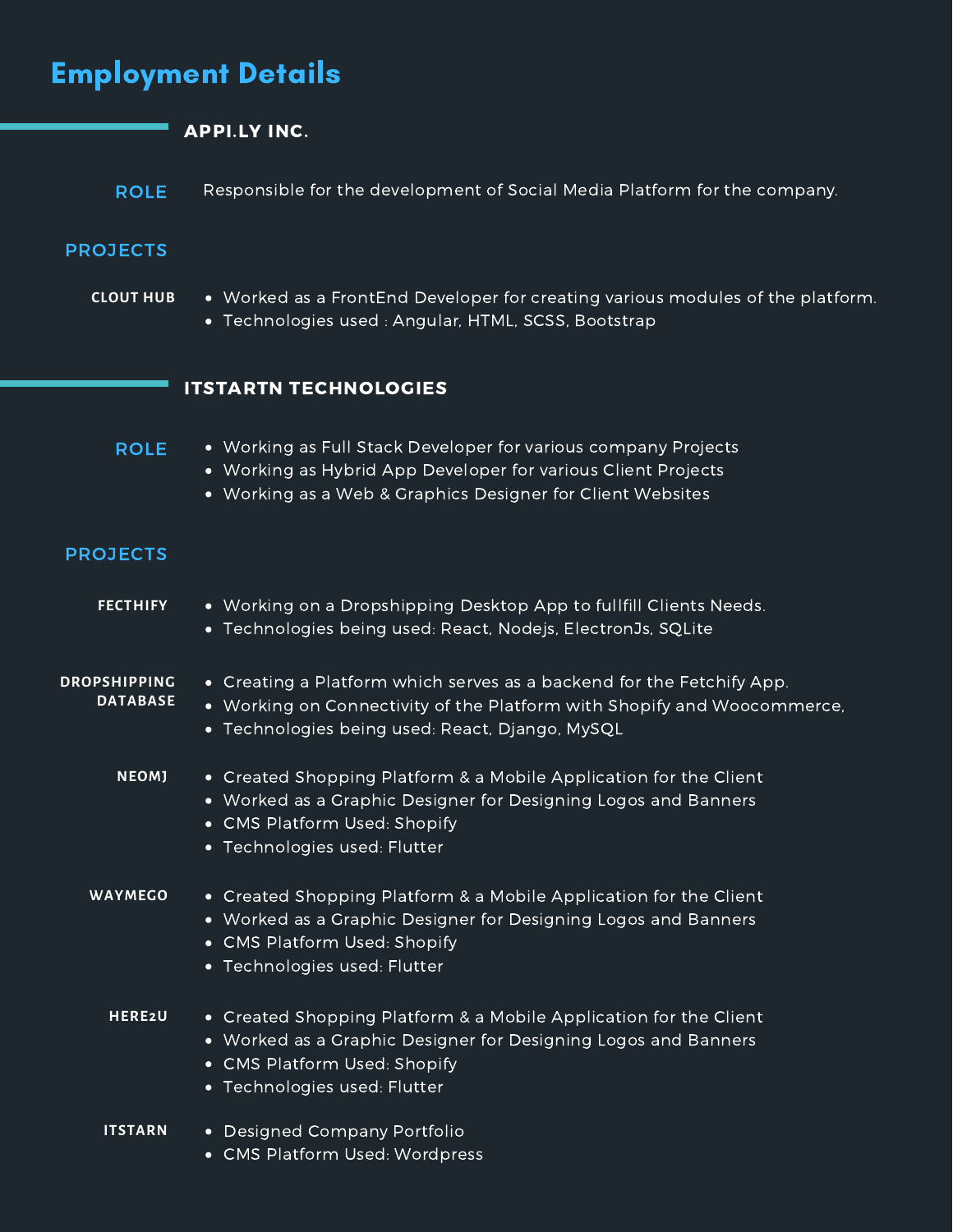| <b>Employment Details</b>              |                                                                                                                                                                                                     |  |
|----------------------------------------|-----------------------------------------------------------------------------------------------------------------------------------------------------------------------------------------------------|--|
|                                        | <b>APPI.LY INC.</b>                                                                                                                                                                                 |  |
| <b>ROLE</b>                            | Responsible for the development of Social Media Platform for the company.                                                                                                                           |  |
| <b>PROJECTS</b>                        |                                                                                                                                                                                                     |  |
| <b>CLOUT HUB</b>                       | • Worked as a FrontEnd Developer for creating various modules of the platform.<br>• Technologies used: Angular, HTML, SCSS, Bootstrap                                                               |  |
|                                        | <b>ITSTARTN TECHNOLOGIES</b>                                                                                                                                                                        |  |
| <b>ROLE</b>                            | • Working as Full Stack Developer for various company Projects<br>• Working as Hybrid App Developer for various Client Projects<br>• Working as a Web & Graphics Designer for Client Websites       |  |
| <b>PROJECTS</b>                        |                                                                                                                                                                                                     |  |
| <b>FECTHIFY</b>                        | • Working on a Dropshipping Desktop App to fullfill Clients Needs.<br>• Technologies being used: React, Nodejs, ElectronJs, SQLite                                                                  |  |
| <b>DROPSHIPPING</b><br><b>DATABASE</b> | • Creating a Platform which serves as a backend for the Fetchify App.<br>• Working on Connectivity of the Platform with Shopify and Woocommerce,<br>• Technologies being used: React, Django, MySQL |  |
| NEOMJ                                  | • Created Shopping Platform & a Mobile Application for the Client<br>• Worked as a Graphic Designer for Designing Logos and Banners<br>• CMS Platform Used: Shopify<br>• Technologies used: Flutter |  |
| <b>WAYMEGO</b>                         | • Created Shopping Platform & a Mobile Application for the Client<br>• Worked as a Graphic Designer for Designing Logos and Banners<br>• CMS Platform Used: Shopify<br>• Technologies used: Flutter |  |
| <b>HERE2U</b>                          | • Created Shopping Platform & a Mobile Application for the Client<br>• Worked as a Graphic Designer for Designing Logos and Banners<br>• CMS Platform Used: Shopify<br>• Technologies used: Flutter |  |
| <b>ITSTARN</b>                         | • Designed Company Portfolio<br>• CMS Platform Used: Wordpress                                                                                                                                      |  |